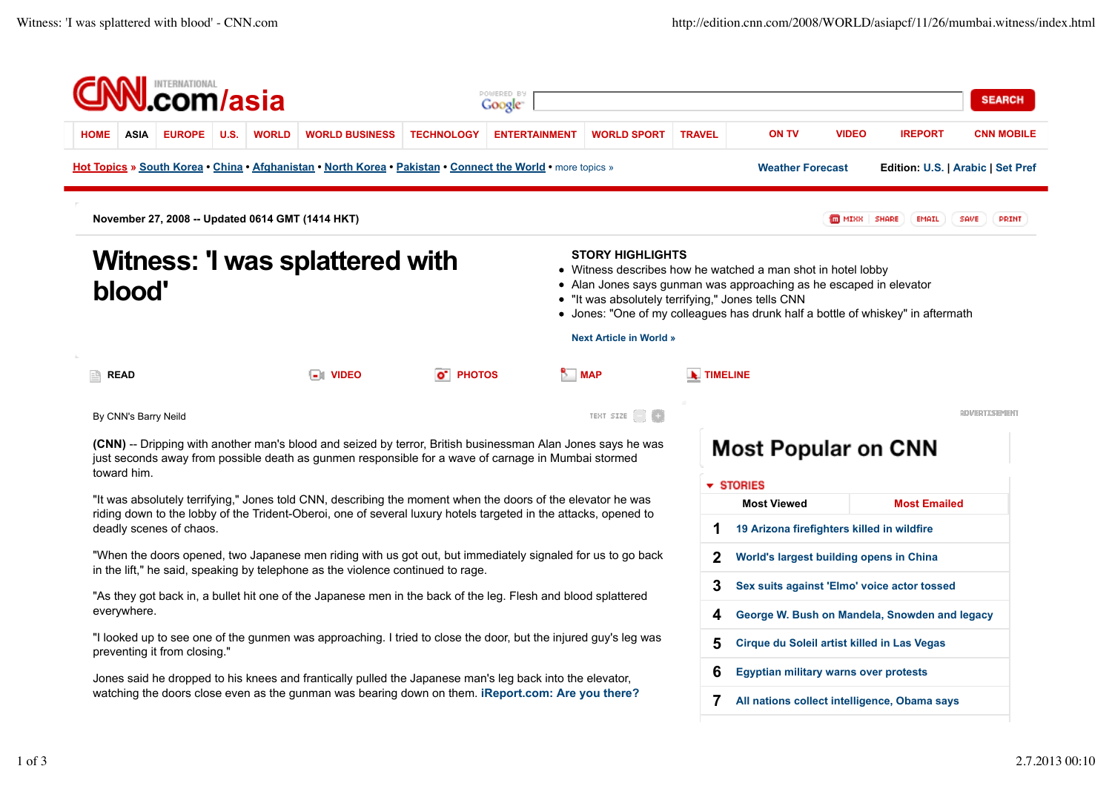|                                                                                                                                                                                                                                                           |               |                                                                                                          | <i>l</i> asia |                                                                                                                                                                                                                    |                       | Google <sup>-</sup>                   |                                                                                                                                                                                                                                                                                                                                         |                                         |                                             |                                               |                                   | <b>SEARCH</b>        |  |
|-----------------------------------------------------------------------------------------------------------------------------------------------------------------------------------------------------------------------------------------------------------|---------------|----------------------------------------------------------------------------------------------------------|---------------|--------------------------------------------------------------------------------------------------------------------------------------------------------------------------------------------------------------------|-----------------------|---------------------------------------|-----------------------------------------------------------------------------------------------------------------------------------------------------------------------------------------------------------------------------------------------------------------------------------------------------------------------------------------|-----------------------------------------|---------------------------------------------|-----------------------------------------------|-----------------------------------|----------------------|--|
| <b>HOME</b><br><b>ASIA</b>                                                                                                                                                                                                                                | <b>EUROPE</b> | U.S.                                                                                                     | <b>WORLD</b>  | <b>WORLD BUSINESS</b>                                                                                                                                                                                              | <b>TECHNOLOGY</b>     | <b>ENTERTAINMENT</b>                  | <b>WORLD SPORT</b>                                                                                                                                                                                                                                                                                                                      | <b>TRAVEL</b>                           | <b>ON TV</b>                                | <b>VIDEO</b>                                  | <b>IREPORT</b>                    | <b>CNN MOBILE</b>    |  |
|                                                                                                                                                                                                                                                           |               |                                                                                                          |               | Hot Topics » South Korea • China • Afghanistan • North Korea • Pakistan • Connect the World • more topics »                                                                                                        |                       |                                       |                                                                                                                                                                                                                                                                                                                                         |                                         | <b>Weather Forecast</b>                     |                                               | Edition: U.S.   Arabic   Set Pref |                      |  |
|                                                                                                                                                                                                                                                           |               |                                                                                                          |               | November 27, 2008 -- Updated 0614 GMT (1414 HKT)                                                                                                                                                                   |                       |                                       |                                                                                                                                                                                                                                                                                                                                         |                                         |                                             | <b>MEDIMIAN SHARE</b>                         | EMAIL                             | SAVE<br>PRINT        |  |
| blood'                                                                                                                                                                                                                                                    |               |                                                                                                          |               | Witness: 'I was splattered with                                                                                                                                                                                    |                       |                                       | <b>STORY HIGHLIGHTS</b><br>• Witness describes how he watched a man shot in hotel lobby<br>• Alan Jones says gunman was approaching as he escaped in elevator<br>• "It was absolutely terrifying," Jones tells CNN<br>• Jones: "One of my colleagues has drunk half a bottle of whiskey" in aftermath<br><b>Next Article in World »</b> |                                         |                                             |                                               |                                   |                      |  |
| <b>READ</b><br>凹                                                                                                                                                                                                                                          |               |                                                                                                          |               | <b>THE VIDEO</b>                                                                                                                                                                                                   | o <sup>-</sup> PHOTOS | <b>MAP</b>                            |                                                                                                                                                                                                                                                                                                                                         |                                         | <b>TIMELINE</b>                             |                                               |                                   |                      |  |
| By CNN's Barry Neild                                                                                                                                                                                                                                      |               |                                                                                                          |               |                                                                                                                                                                                                                    |                       |                                       | TENT SIZE <sup>1</sup>                                                                                                                                                                                                                                                                                                                  |                                         |                                             |                                               |                                   | <b>QDVERTISEMENT</b> |  |
| toward him.                                                                                                                                                                                                                                               |               |                                                                                                          |               | (CNN) -- Dripping with another man's blood and seized by terror, British businessman Alan Jones says he was<br>just seconds away from possible death as gunmen responsible for a wave of carnage in Mumbai stormed |                       |                                       |                                                                                                                                                                                                                                                                                                                                         |                                         | <b>Most Popular on CNN</b>                  |                                               |                                   |                      |  |
| "It was absolutely terrifying," Jones told CNN, describing the moment when the doors of the elevator he was<br>riding down to the lobby of the Trident-Oberoi, one of several luxury hotels targeted in the attacks, opened to<br>deadly scenes of chaos. |               |                                                                                                          |               |                                                                                                                                                                                                                    |                       | $\overline{\phantom{a}}$ STORIES<br>1 |                                                                                                                                                                                                                                                                                                                                         |                                         | <b>Most Viewed</b>                          |                                               | <b>Most Emailed</b>               |                      |  |
|                                                                                                                                                                                                                                                           |               |                                                                                                          |               |                                                                                                                                                                                                                    |                       |                                       |                                                                                                                                                                                                                                                                                                                                         |                                         |                                             | 19 Arizona firefighters killed in wildfire    |                                   |                      |  |
| "When the doors opened, two Japanese men riding with us got out, but immediately signaled for us to go back                                                                                                                                               |               |                                                                                                          |               |                                                                                                                                                                                                                    |                       |                                       | 2                                                                                                                                                                                                                                                                                                                                       | World's largest building opens in China |                                             |                                               |                                   |                      |  |
| in the lift," he said, speaking by telephone as the violence continued to rage.                                                                                                                                                                           |               |                                                                                                          |               |                                                                                                                                                                                                                    |                       | 3                                     |                                                                                                                                                                                                                                                                                                                                         |                                         |                                             | Sex suits against 'Elmo' voice actor tossed   |                                   |                      |  |
| "As they got back in, a bullet hit one of the Japanese men in the back of the leg. Flesh and blood splattered<br>everywhere.                                                                                                                              |               |                                                                                                          |               |                                                                                                                                                                                                                    |                       | 4                                     |                                                                                                                                                                                                                                                                                                                                         |                                         |                                             | George W. Bush on Mandela, Snowden and legacy |                                   |                      |  |
| "I looked up to see one of the gunmen was approaching. I tried to close the door, but the injured guy's leg was<br>preventing it from closing."                                                                                                           |               |                                                                                                          |               |                                                                                                                                                                                                                    |                       |                                       |                                                                                                                                                                                                                                                                                                                                         | 5                                       | Cirque du Soleil artist killed in Las Vegas |                                               |                                   |                      |  |
|                                                                                                                                                                                                                                                           |               | Jones said he dropped to his knees and frantically pulled the Japanese man's leg back into the elevator, |               |                                                                                                                                                                                                                    |                       |                                       | 6                                                                                                                                                                                                                                                                                                                                       |                                         |                                             | <b>Egyptian military warns over protests</b>  |                                   |                      |  |
|                                                                                                                                                                                                                                                           |               |                                                                                                          |               | watching the doors close even as the gunman was bearing down on them. iReport.com: Are you there?                                                                                                                  |                       |                                       |                                                                                                                                                                                                                                                                                                                                         |                                         |                                             |                                               |                                   |                      |  |